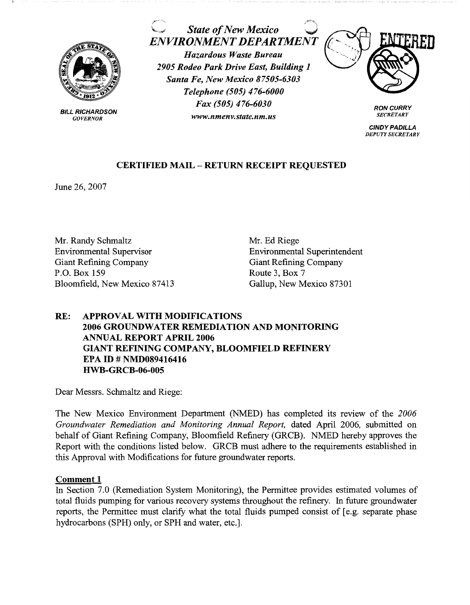

**BILL RICHARDSON** *GOVERNOR* 

*State of New Mexico ENVIRONMENT DEPARTMENT* 

*Hazardous Waste Bureau 2905 Rodeo Park Drive East, Building 1 Santa Fe, New Mexico 87505-6303 Telephone (505) 476-6000 Fax (505) 476-6030 www.nmenv.state.nm.us* 



**RON CURRY**  *SECRETARY* 

**CINDY PADILLA**  *DEPUTY SECRETARY* 

# **CERTIFIED MAIL** - **RETURN RECEIPT REQUESTED**

June 26, 2007

Mr. Randy Schmaltz Environmental Supervisor Giant Refining Company P.O. Box 159 Bloomfield, New Mexico 87413 Mr. Ed Riege Environmental Superintendent Giant Refining Company Route 3, Box 7 Gallup, New Mexico 87301

## **RE: APPROVAL WITH MODIFICATIONS 2006 GROUNDWATER REMEDIATION AND MONITORING ANNUAL REPORT APRIL 2006 GIANT REFINING COMPANY, BLOOMFIELD REFINERY EPA ID# NMD089416416 HWB-GRCB-06-005**

Dear Messrs. Schmaltz and Riege:

The New Mexico Environment Department (NMED) has completed its review of the *2006 Groundwater Remediation and Monitoring Annual Report,* dated April 2006, submitted on behalf of Giant Refining Company, Bloomfield Refinery (GRCB). NMED hereby approves the Report with the conditions listed below. GRCB must adhere to the requirements established in this Approval with Modifications for future groundwater reports.

## **Comment 1**

In Section 7.0 (Remediation System Monitoring), the Permittee provides estimated volumes of total fluids pumping for various recovery systems throughout the refinery. In future groundwater reports, the Permittee must clarify what the total fluids pumped consist of [ e.g. separate phase hydrocarbons (SPH) only, or SPH and water, etc.].